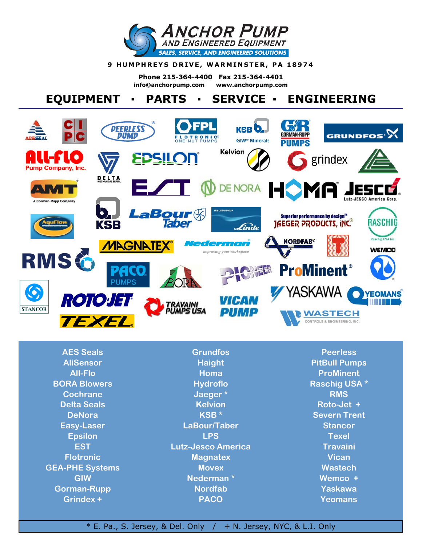

#### **9 HUMPHREYS DRIVE, WARMINSTER, PA 18974**

**Phone 215-364-4400 Fax 215-364-4401 info@anchorpump.com www.anchorpump.com**

# **EQUIPMENT ▪ PARTS ▪ SERVICE ▪ ENGINEERING**



**AES Seals AliSensor All-Flo BORA Blowers Cochrane Delta Seals DeNora Easy-Laser Epsilon EST Flotronic GEA-PHE Systems GIW Gorman-Rupp Grindex +** 

**Grundfos Haight Homa Hydroflo Jaeger \* Kelvion KSB \* LaBour/Taber LPS Lutz-Jesco America Magnatex Movex Nederman \* Nordfab PACO** 

**Peerless PitBull Pumps ProMinent Raschig USA \* RMS Roto-Jet + Severn Trent Stancor Texel Travaini Vican Wastech Wemco + Yaskawa Yeomans** 

### $*$  E. Pa., S. Jersey, & Del. Only  $/ + N$ . Jersey, NYC, & L.I. Only